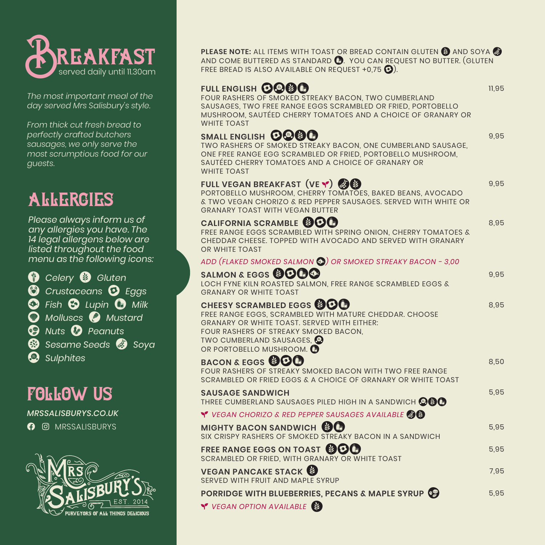

*The most important meal of the day served Mrs Salisbury's style.*

*From thick cut fresh bread to perfectly crafted butchers sausages, we only serve the most scrumptious food for our guests.*

# allergies

*Please always inform us of any allergies you have. The 14 legal allergens below are listed throughout the food menu as the following icons:* 

**1** Celery **2** Gluten<br>**2** Crustaceans **0** L 3 *Crustaceans* 4 *Eggs* **3** Fish **6** Lupin **0** Milk<br>**1** Molluses **2** Mustard **8** Molluscs **8** Mustard<br>**8** Nuts **8** Peanuts a *Nuts* b *Peanuts* Sesame Seeds **a** Soya e *Sulphites*

## follow us

*MRSSALISBURYS.CO.UK* **O** MRSSALISBURYS



**PLEASE NOTE:** ALL ITEMS WITH TOAST OR BREAD CONTAIN GLUTEN **@** AND SOYA **@** AND COME BUTTERED AS STANDARD **(B)**. YOU CAN REQUEST NO BUTTER. (GLUTEN FREE BREAD IS ALSO AVAILABLE ON REQUEST +0,75  $\odot$ ).

## FULL ENGLISH **OOOO**

FOUR RASHERS OF SMOKED STREAKY BACON, TWO CUMBERLAND SAUSAGES, TWO FREE RANGE EGGS SCRAMBLED OR FRIED, PORTOBELLO MUSHROOM, SAUTÉED CHERRY TOMATOES AND A CHOICE OF GRANARY OR WHITE TOAST

11,95

9,95

9,95

8,95

9,95

8,95

8,50

## SMALL ENGLISH **OOOOO**

TWO RASHERS OF SMOKED STREAKY BACON, ONE CUMBERLAND SAUSAGE, ONE FREE RANGE EGG SCRAMBLED OR FRIED, PORTOBELLO MUSHROOM, SAUTÉED CHERRY TOMATOES AND A CHOICE OF GRANARY OR WHITE TOAST

## **FULL VEGAN BREAKFAST (VE <b>·)**<br>BORTOBELLO MUSHBOOM CHEBRY TOMATOL

PORTOBELLO MUSHROOM, CHERRY TOMATOES, BAKED BEANS, AVOCADO & TWO VEGAN CHORIZO & RED PEPPER SAUSAGES. SERVED WITH WHITE OR GRANARY TOAST WITH VEGAN BUTTER

#### **CALIFORNIA SCRAMBLE**

CALIFORNIA SCRAMBLE SOOD<br>FREE RANGE EGGS SCRAMBLED WITH SPRING ONION, CHERRY TOMATOES & CHEDDAR CHEESE. TOPPED WITH AVOCADO AND SERVED WITH GRANARY OR WHITE TOAST

*ADD (FLAKED SMOKED SALMON* 5*) OR SMOKED STREAKY BACON - 3,00*

#### SALMON & EGGS **@OOO** LOCH FYNE KILN ROASTED SALMON, FREE RANGE SCRAMBLED EGGS & GRANARY OR WHITE TOAST CHEESY SCRAMBLED EGGS **@OO** FREE RANGE EGGS, SCRAMBLED WITH MATURE CHEDDAR. CHOOSE

GRANARY OR WHITE TOAST. SERVED WITH EITHER: FOUR RASHERS OF STREAKY SMOKED BACON,<br>TWO CUMBERLAND SAUSAGES, @ OR PORTOBELLO MUSHROOM. <sup>2</sup>

## **BACON & EGGS OOO**

| FOUR RASHERS OF STREAKY SMOKED BACON WITH TWO FREE RANGE<br>SCRAMBLED OR FRIED EGGS & A CHOICE OF GRANARY OR WHITE TOAST                                          |      |
|-------------------------------------------------------------------------------------------------------------------------------------------------------------------|------|
| <b>SAUSAGE SANDWICH</b><br>THREE CUMBERLAND SAUSAGES PILED HIGH IN A SANDWICH $\mathbin{\mathbin{\otimes}}\mathbin{\mathbin{\otimes}}\mathbin{\mathbin{\otimes}}$ | 5.95 |
| Y VEGAN CHORIZO & RED PEPPER SAUSAGES AVAILABLE                                                                                                                   |      |
| MIGHTY BACON SANDWICH SO<br>SIX CRISPY RASHERS OF SMOKED STREAKY BACON IN A SANDWICH                                                                              | 5.95 |
| <b>FREE RANGE EGGS ON TOAST @OO</b><br>SCRAMBLED OR FRIED, WITH GRANARY OR WHITE TOAST                                                                            | 5.95 |
| <b>VEGAN PANCAKE STACK</b><br>SERVED WITH FRUIT AND MAPLE SYRUP                                                                                                   | 7,95 |
| <b>PORRIDGE WITH BLUEBERRIES, PECANS &amp; MAPLE SYRUP</b><br><b>Y</b> VEGAN OPTION AVAILABLE                                                                     | 5.95 |
|                                                                                                                                                                   |      |